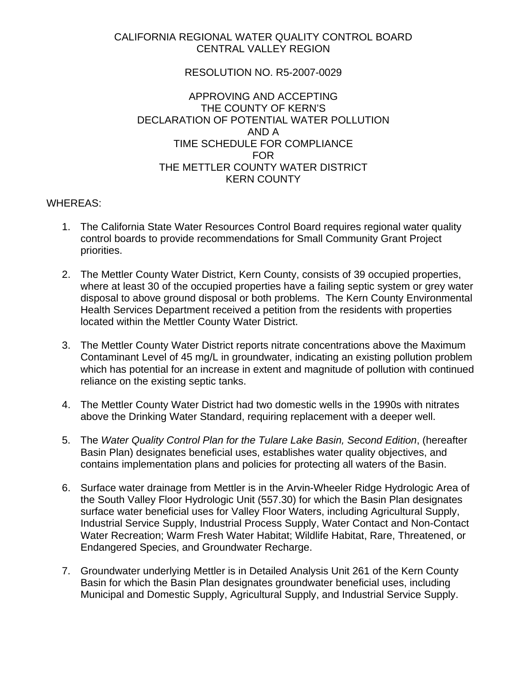## CALIFORNIA REGIONAL WATER QUALITY CONTROL BOARD CENTRAL VALLEY REGION

## RESOLUTION NO. R5-2007-0029

## APPROVING AND ACCEPTING THE COUNTY OF KERN'S DECLARATION OF POTENTIAL WATER POLLUTION AND A TIME SCHEDULE FOR COMPLIANCE FOR THE METTLER COUNTY WATER DISTRICT KERN COUNTY

## WHEREAS:

- 1. The California State Water Resources Control Board requires regional water quality control boards to provide recommendations for Small Community Grant Project priorities.
- 2. The Mettler County Water District, Kern County, consists of 39 occupied properties, where at least 30 of the occupied properties have a failing septic system or grey water disposal to above ground disposal or both problems. The Kern County Environmental Health Services Department received a petition from the residents with properties located within the Mettler County Water District.
- 3. The Mettler County Water District reports nitrate concentrations above the Maximum Contaminant Level of 45 mg/L in groundwater, indicating an existing pollution problem which has potential for an increase in extent and magnitude of pollution with continued reliance on the existing septic tanks.
- 4. The Mettler County Water District had two domestic wells in the 1990s with nitrates above the Drinking Water Standard, requiring replacement with a deeper well.
- 5. The *Water Quality Control Plan for the Tulare Lake Basin, Second Edition*, (hereafter Basin Plan) designates beneficial uses, establishes water quality objectives, and contains implementation plans and policies for protecting all waters of the Basin.
- 6. Surface water drainage from Mettler is in the Arvin-Wheeler Ridge Hydrologic Area of the South Valley Floor Hydrologic Unit (557.30) for which the Basin Plan designates surface water beneficial uses for Valley Floor Waters, including Agricultural Supply, Industrial Service Supply, Industrial Process Supply, Water Contact and Non-Contact Water Recreation; Warm Fresh Water Habitat; Wildlife Habitat, Rare, Threatened, or Endangered Species, and Groundwater Recharge.
- 7. Groundwater underlying Mettler is in Detailed Analysis Unit 261 of the Kern County Basin for which the Basin Plan designates groundwater beneficial uses, including Municipal and Domestic Supply, Agricultural Supply, and Industrial Service Supply.